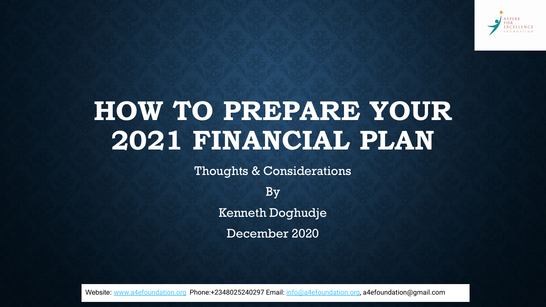

# **HOW TO PREPARE YOUR 2021 FINANCIAL PLAN**

Thoughts & Considerations

By Kenneth Doghudje December 2020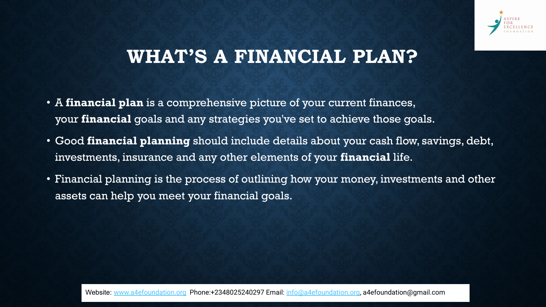

### **WHAT'S A FINANCIAL PLAN?**

- A **financial plan** is a comprehensive picture of your current finances, your **financial** goals and any strategies you've set to achieve those goals.
- Good **financial planning** should include details about your cash flow, savings, debt, investments, insurance and any other elements of your **financial** life.
- Financial planning is the process of outlining how your money, investments and other assets can help you meet your financial goals.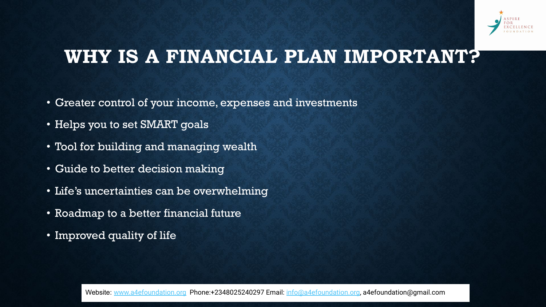

### **WHY IS A FINANCIAL PLAN IMPORTANT?**

- Greater control of your income, expenses and investments
- Helps you to set SMART goals
- Tool for building and managing wealth
- Guide to better decision making
- Life's uncertainties can be overwhelming
- Roadmap to a better financial future
- Improved quality of life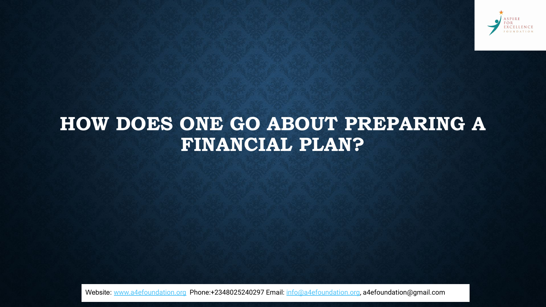

## **HOW DOES ONE GO ABOUT PREPARING A FINANCIAL PLAN?**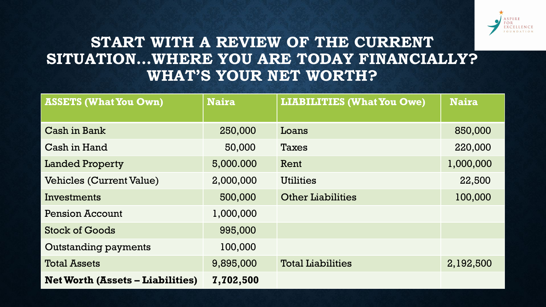

### **START WITH A REVIEW OF THE CURRENT SITUATION…WHERE YOU ARE TODAY FINANCIALLY? WHAT'S YOUR NET WORTH?**

| <b>ASSETS (What You Own)</b>            | <b>Naira</b> | <b>LIABILITIES (What You Owe)</b> | <b>Naira</b> |
|-----------------------------------------|--------------|-----------------------------------|--------------|
|                                         |              |                                   |              |
| Cash in Bank                            | 250,000      | Loans                             | 850,000      |
| Cash in Hand                            | 50,000       | Taxes                             | 220,000      |
| <b>Landed Property</b>                  | 5,000.000    | Rent                              | 1,000,000    |
| <b>Vehicles (Current Value)</b>         | 2,000,000    | <b>Utilities</b>                  | 22,500       |
| Investments                             | 500,000      | <b>Other Liabilities</b>          | 100,000      |
| <b>Pension Account</b>                  | 1,000,000    |                                   |              |
| <b>Stock of Goods</b>                   | 995,000      |                                   |              |
| <b>Outstanding payments</b>             | 100,000      |                                   |              |
| <b>Total Assets</b>                     | 9,895,000    | <b>Total Liabilities</b>          | 2,192,500    |
| <b>Net Worth (Assets – Liabilities)</b> | 7,702,500    |                                   |              |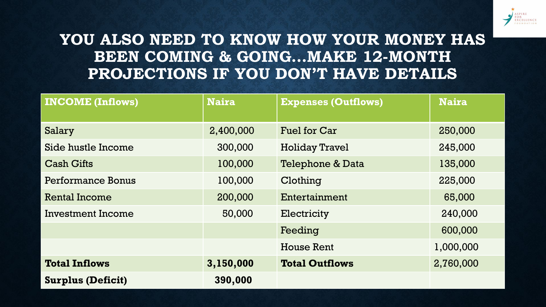

### **YOU ALSO NEED TO KNOW HOW YOUR MONEY HAS BEEN COMING & GOING...MAKE 12-MONTH PROJECTIONS IF YOU DON'T HAVE DETAILS**

| <b>INCOME (Inflows)</b>  | <b>Naira</b> | <b>Expenses (Outflows)</b> | <b>Naira</b> |
|--------------------------|--------------|----------------------------|--------------|
| Salary                   | 2,400,000    | <b>Fuel for Car</b>        | 250,000      |
| Side hustle Income       | 300,000      | <b>Holiday Travel</b>      | 245,000      |
| <b>Cash Gifts</b>        | 100,000      | Telephone & Data           | 135,000      |
| Performance Bonus        | 100,000      | Clothing                   | 225,000      |
| Rental Income            | 200,000      | Entertainment              | 65,000       |
| Investment Income        | 50,000       | Electricity                | 240,000      |
|                          |              | Feeding                    | 600,000      |
|                          |              | House Rent                 | 1,000,000    |
| <b>Total Inflows</b>     | 3,150,000    | <b>Total Outflows</b>      | 2,760,000    |
| <b>Surplus (Deficit)</b> | 390,000      |                            |              |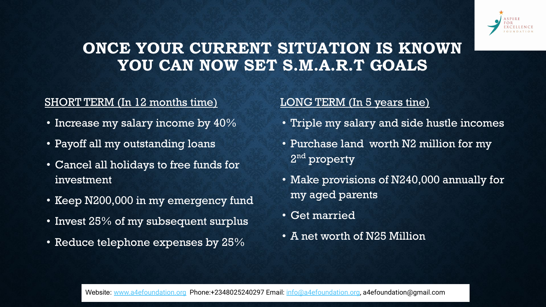

### **ONCE YOUR CURRENT SITUATION IS KNOWN YOU CAN NOW SET S.M.A.R.T GOALS**

#### SHORT TERM (In 12 months time)

- Increase my salary income by 40%
- Payoff all my outstanding loans
- Cancel all holidays to free funds for investment
- Keep N200,000 in my emergency fund
- Invest 25% of my subsequent surplus
- Reduce telephone expenses by 25%

#### LONG TERM (In 5 years tine)

- Triple my salary and side hustle incomes
- Purchase land worth N2 million for my 2<sup>nd</sup> property
- Make provisions of N240,000 annually for my aged parents
- Get married
- A net worth of N25 Million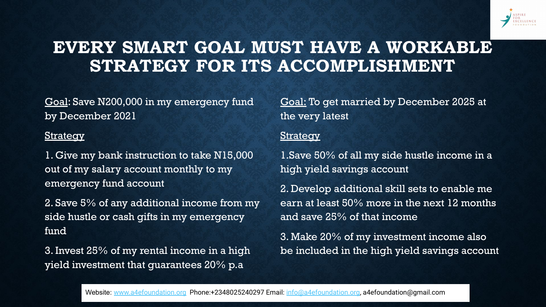

### **EVERY SMART GOAL MUST HAVE A WORKABLE STRATEGY FOR ITS ACCOMPLISHMENT**

Goal: Save N200,000 in my emergency fund by December 2021

#### **Strategy**

1. Give my bank instruction to take N15,000 out of my salary account monthly to my emergency fund account

2. Save 5% of any additional income from my side hustle or cash gifts in my emergency fund

3. Invest 25% of my rental income in a high yield investment that guarantees 20% p.a

Goal: To get married by December 2025 at the very latest

#### **Strategy**

1.Save 50% of all my side hustle income in a high yield savings account

2. Develop additional skill sets to enable me earn at least 50% more in the next 12 months and save 25% of that income

3. Make 20% of my investment income also be included in the high yield savings account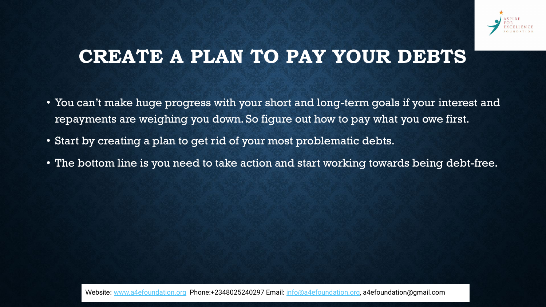

## **CREATE A PLAN TO PAY YOUR DEBTS**

- You can't make huge progress with your short and long-term goals if your interest and repayments are weighing you down. So figure out how to pay what you owe first.
- Start by creating a plan to get rid of your most problematic debts.
- The bottom line is you need to take action and start working towards being debt-free.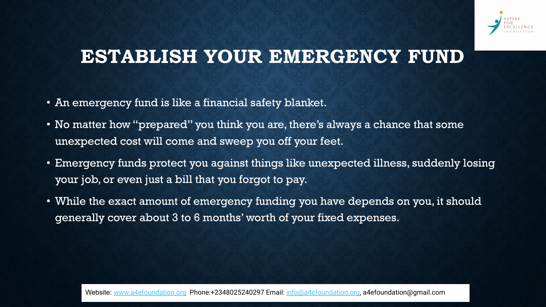

### **ESTABLISH YOUR EMERGENCY FUND**

- An emergency fund is like a financial safety blanket.
- No matter how "prepared" you think you are, there's always a chance that some unexpected cost will come and sweep you off your feet.
- Emergency funds protect you against things like unexpected illness, suddenly losing your job, or even just a bill that you forgot to pay.
- While the exact amount of emergency funding you have depends on you, it should generally cover about 3 to 6 months' worth of your fixed expenses.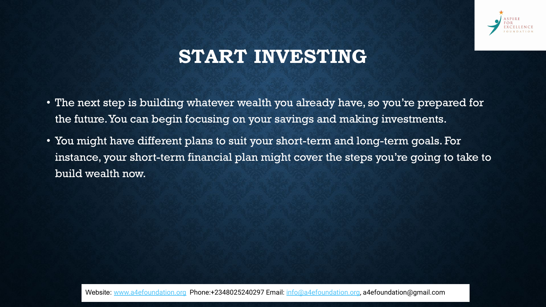

## **START INVESTING**

- The next step is building whatever wealth you already have, so you're prepared for the future. You can begin focusing on your savings and making investments.
- You might have different plans to suit your short-term and long-term goals. For instance, your short-term financial plan might cover the steps you're going to take to build wealth now.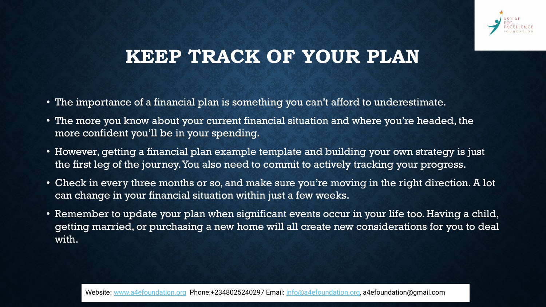

### **KEEP TRACK OF YOUR PLAN**

- The importance of a financial plan is something you can't afford to underestimate.
- The more you know about your current financial situation and where you're headed, the more confident you'll be in your spending.
- However, getting a financial plan example template and building your own strategy is just the first leg of the journey. You also need to commit to actively tracking your progress.
- Check in every three months or so, and make sure you're moving in the right direction. A lot can change in your financial situation within just a few weeks.
- Remember to update your plan when significant events occur in your life too. Having a child, getting married, or purchasing a new home will all create new considerations for you to deal with.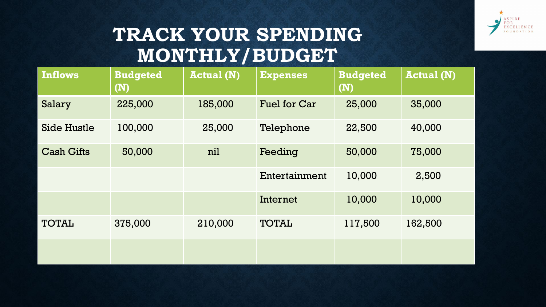

# **TRACK YOUR SPENDING MONTHLY/BUDGET**

| <b>Inflows</b>     | <b>Budgeted</b><br>$(\mathbf{N})$ | <b>Actual (N)</b> | <b>Expenses</b>     | <b>Budgeted</b><br>(N) | <b>Actual (N)</b> |
|--------------------|-----------------------------------|-------------------|---------------------|------------------------|-------------------|
| Salary             | 225,000                           | 185,000           | <b>Fuel for Car</b> | 25,000                 | 35,000            |
| <b>Side Hustle</b> | 100,000                           | 25,000            | Telephone           | 22,500                 | 40,000            |
| <b>Cash Gifts</b>  | 50,000                            | nil               | Feeding             | 50,000                 | 75,000            |
|                    |                                   |                   | Entertainment       | 10,000                 | 2,500             |
|                    |                                   |                   | Internet            | 10,000                 | 10,000            |
| <b>TOTAL</b>       | 375,000                           | 210,000           | <b>TOTAL</b>        | 117,500                | 162,500           |
|                    |                                   |                   |                     |                        |                   |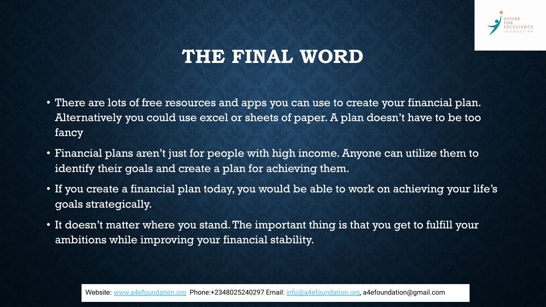

### **THE FINAL WORD**

- There are lots of free resources and apps you can use to create your financial plan. Alternatively you could use excel or sheets of paper. A plan doesn't have to be too fancy
- Financial plans aren't just for people with high income. Anyone can utilize them to identify their goals and create a plan for achieving them.
- If you create a financial plan today, you would be able to work on achieving your life's goals strategically.
- It doesn't matter where you stand. The important thing is that you get to fulfill your ambitions while improving your financial stability.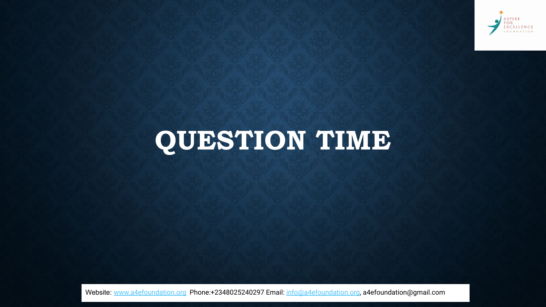

# **QUESTION TIME**